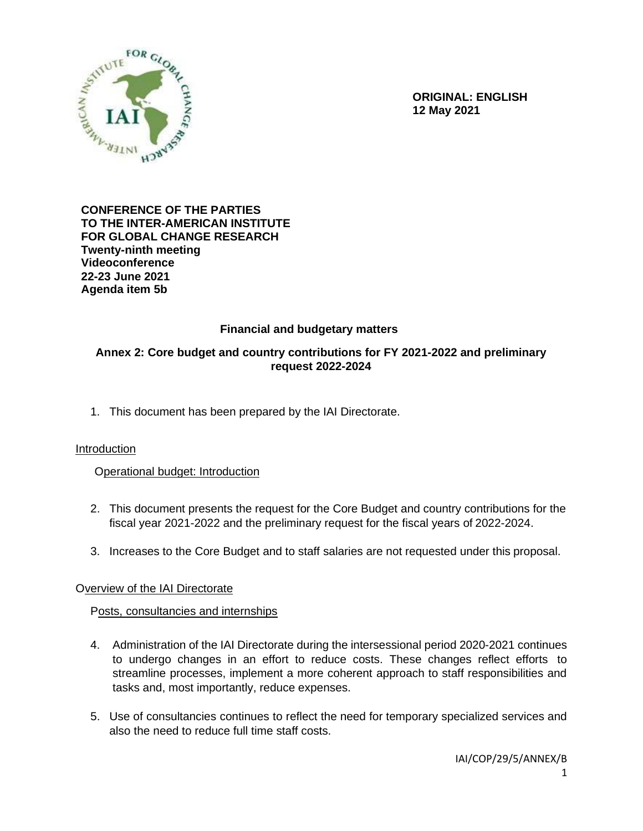

**ORIGINAL: ENGLISH 12 May 2021**

#### **CONFERENCE OF THE PARTIES TO THE INTER-AMERICAN INSTITUTE FOR GLOBAL CHANGE RESEARCH Twenty-ninth meeting Videoconference 22-23 June 2021 Agenda item 5b**

# **Financial and budgetary matters**

## **Annex 2: Core budget and country contributions for FY 2021-2022 and preliminary request 2022-2024**

1. This document has been prepared by the IAI Directorate.

## Introduction

## Operational budget: Introduction

- 2. This document presents the request for the Core Budget and country contributions for the fiscal year 2021-2022 and the preliminary request for the fiscal years of 2022-2024.
- 3. Increases to the Core Budget and to staff salaries are not requested under this proposal.

## Overview of the IAI Directorate

## Posts, consultancies and internships

- 4. Administration of the IAI Directorate during the intersessional period 2020-2021 continues to undergo changes in an effort to reduce costs. These changes reflect efforts to streamline processes, implement a more coherent approach to staff responsibilities and tasks and, most importantly, reduce expenses.
- 5. Use of consultancies continues to reflect the need for temporary specialized services and also the need to reduce full time staff costs.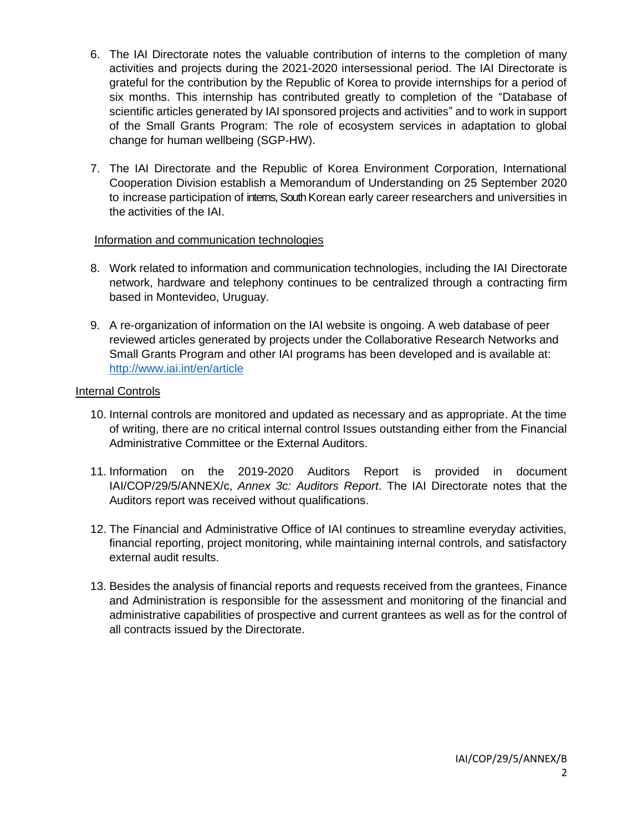- 6. The IAI Directorate notes the valuable contribution of interns to the completion of many activities and projects during the 2021-2020 intersessional period. The IAI Directorate is grateful for the contribution by the Republic of Korea to provide internships for a period of six months. This internship has contributed greatly to completion of the "Database of scientific articles generated by IAI sponsored projects and activities" and to work in support of the Small Grants Program: The role of ecosystem services in adaptation to global change for human wellbeing (SGP-HW).
- 7. The IAI Directorate and the Republic of Korea Environment Corporation, International Cooperation Division establish a Memorandum of Understanding on 25 September 2020 to increase participation of interns, South Korean early career researchers and universities in the activities of the IAI.

## Information and communication technologies

- 8. Work related to information and communication technologies, including the IAI Directorate network, hardware and telephony continues to be centralized through a contracting firm based in Montevideo, Uruguay.
- 9. A re-organization of information on the IAI website is ongoing. A web database of peer reviewed articles generated by projects under the Collaborative Research Networks and Small Grants Program and other IAI programs has been developed and is available at: <http://www.iai.int/en/article>

## Internal Controls

- 10. Internal controls are monitored and updated as necessary and as appropriate. At the time of writing, there are no critical internal control Issues outstanding either from the Financial Administrative Committee or the External Auditors.
- 11. Information on the 2019-2020 Auditors Report is provided in document IAI/COP/29/5/ANNEX/c, *Annex 3c: Auditors Report*. The IAI Directorate notes that the Auditors report was received without qualifications.
- 12. The Financial and Administrative Office of IAI continues to streamline everyday activities, financial reporting, project monitoring, while maintaining internal controls, and satisfactory external audit results.
- 13. Besides the analysis of financial reports and requests received from the grantees, Finance and Administration is responsible for the assessment and monitoring of the financial and administrative capabilities of prospective and current grantees as well as for the control of all contracts issued by the Directorate.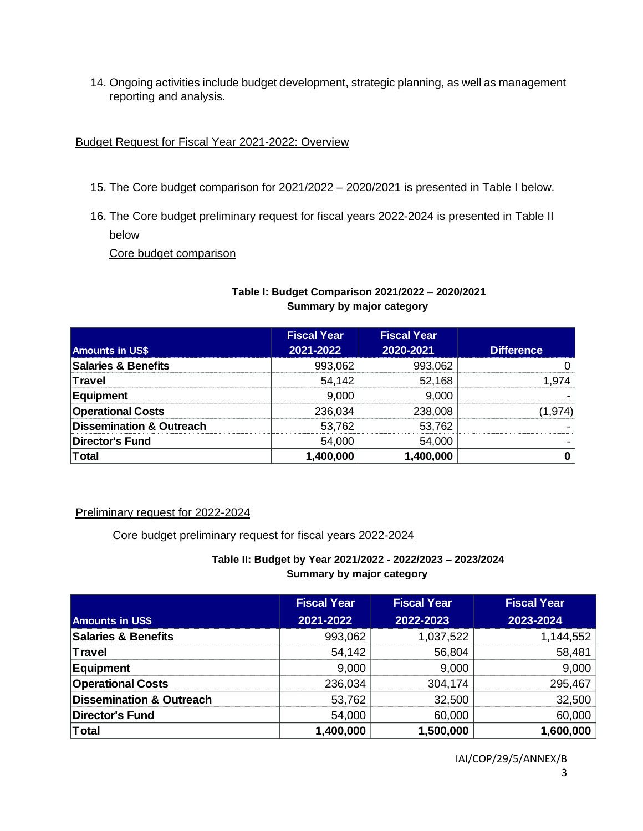14. Ongoing activities include budget development, strategic planning, as well as management reporting and analysis.

## Budget Request for Fiscal Year 2021-2022: Overview

- 15. The Core budget comparison for 2021/2022 2020/2021 is presented in Table I below.
- 16. The Core budget preliminary request for fiscal years 2022-2024 is presented in Table II below

Core budget comparison

# **Table I: Budget Comparison 2021/2022 – 2020/2021 Summary by major category**

|                                     | <b>Fiscal Year</b> | <b>Fiscal Year</b> |                   |
|-------------------------------------|--------------------|--------------------|-------------------|
| <b>Amounts in US\$</b>              | 2021-2022          | 2020-2021          | <b>Difference</b> |
| <b>Salaries &amp; Benefits</b>      | 993,062            | 993,062            |                   |
| Travel                              | 54,142             | 52,168             | 1.974             |
| Equipment                           | 9,000              | 9,000              |                   |
| <b>Operational Costs</b>            | 236,034            | 238,008            | (1,974)           |
| <b>Dissemination &amp; Outreach</b> | 53,762             | 53,762             |                   |
| <b>Director's Fund</b>              | 54,000             | 54,000             |                   |
| <b>Total</b>                        | 1,400,000          | 1,400,000          |                   |

## Preliminary request for 2022-2024

## Core budget preliminary request for fiscal years 2022-2024

## **Table II: Budget by Year 2021/2022 - 2022/2023 – 2023/2024 Summary by major category**

|                                     | <b>Fiscal Year</b> | <b>Fiscal Year</b> | <b>Fiscal Year</b> |
|-------------------------------------|--------------------|--------------------|--------------------|
| <b>Amounts in US\$</b>              | 2021-2022          | 2022-2023          | 2023-2024          |
| <b>Salaries &amp; Benefits</b>      | 993,062            | 1,037,522          | 1,144,552          |
| Travel                              | 54,142             | 56,804             | 58,481             |
| Equipment                           | 9,000              | 9,000              | 9,000              |
| <b>Operational Costs</b>            | 236,034            | 304,174            | 295,467            |
| <b>Dissemination &amp; Outreach</b> | 53,762             | 32,500             | 32,500             |
| <b>Director's Fund</b>              | 54,000             | 60,000             | 60,000             |
| Total                               | 1,400,000          | 1,500,000          | 1,600,000          |

IAI/COP/29/5/ANNEX/B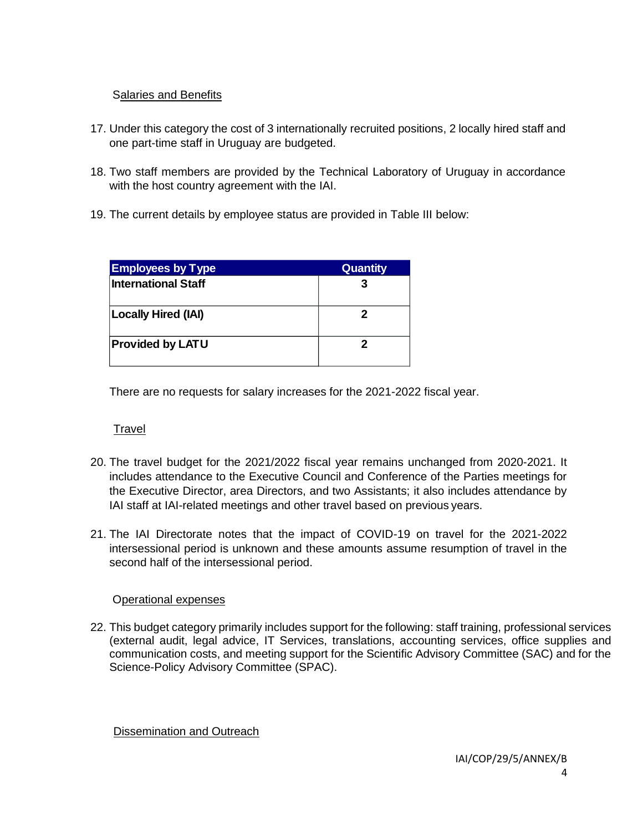# Salaries and Benefits

- 17. Under this category the cost of 3 internationally recruited positions, 2 locally hired staff and one part-time staff in Uruguay are budgeted.
- 18. Two staff members are provided by the Technical Laboratory of Uruguay in accordance with the host country agreement with the IAI.
- 19. The current details by employee status are provided in Table III below:

| <b>Employees by Type</b>   | <b>Quantity</b> |
|----------------------------|-----------------|
| <b>International Staff</b> |                 |
| <b>Locally Hired (IAI)</b> | 2               |
| <b>Provided by LATU</b>    |                 |

There are no requests for salary increases for the 2021-2022 fiscal year.

# Travel

- 20. The travel budget for the 2021/2022 fiscal year remains unchanged from 2020-2021. It includes attendance to the Executive Council and Conference of the Parties meetings for the Executive Director, area Directors, and two Assistants; it also includes attendance by IAI staff at IAI-related meetings and other travel based on previous years.
- 21. The IAI Directorate notes that the impact of COVID-19 on travel for the 2021-2022 intersessional period is unknown and these amounts assume resumption of travel in the second half of the intersessional period.

## Operational expenses

22. This budget category primarily includes support for the following: staff training, professional services (external audit, legal advice, IT Services, translations, accounting services, office supplies and communication costs, and meeting support for the Scientific Advisory Committee (SAC) and for the Science-Policy Advisory Committee (SPAC).

Dissemination and Outreach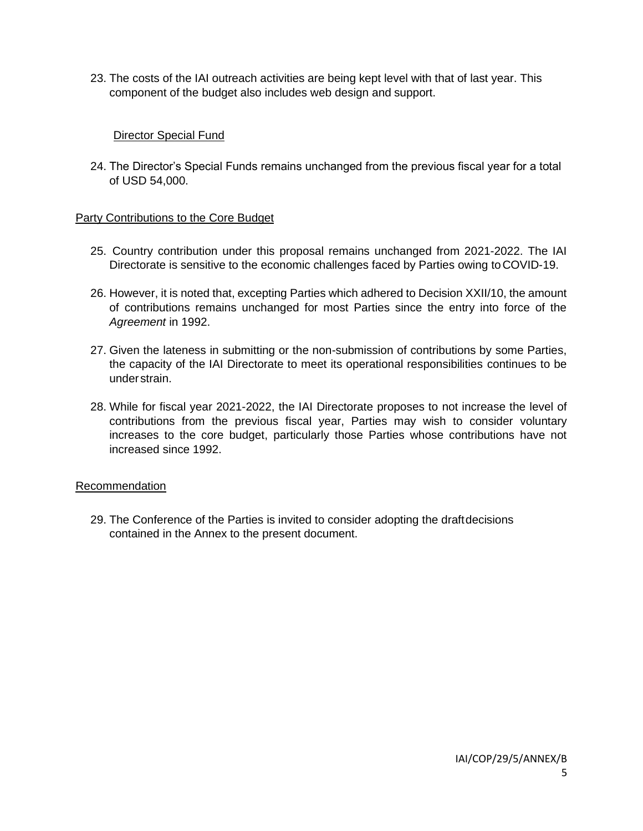23. The costs of the IAI outreach activities are being kept level with that of last year. This component of the budget also includes web design and support.

## Director Special Fund

24. The Director's Special Funds remains unchanged from the previous fiscal year for a total of USD 54,000.

## **Party Contributions to the Core Budget**

- 25. Country contribution under this proposal remains unchanged from 2021-2022. The IAI Directorate is sensitive to the economic challenges faced by Parties owing toCOVID-19.
- 26. However, it is noted that, excepting Parties which adhered to Decision XXII/10, the amount of contributions remains unchanged for most Parties since the entry into force of the *Agreement* in 1992.
- 27. Given the lateness in submitting or the non-submission of contributions by some Parties, the capacity of the IAI Directorate to meet its operational responsibilities continues to be understrain.
- 28. While for fiscal year 2021-2022, the IAI Directorate proposes to not increase the level of contributions from the previous fiscal year, Parties may wish to consider voluntary increases to the core budget, particularly those Parties whose contributions have not increased since 1992.

## Recommendation

29. The Conference of the Parties is invited to consider adopting the draftdecisions contained in the Annex to the present document.